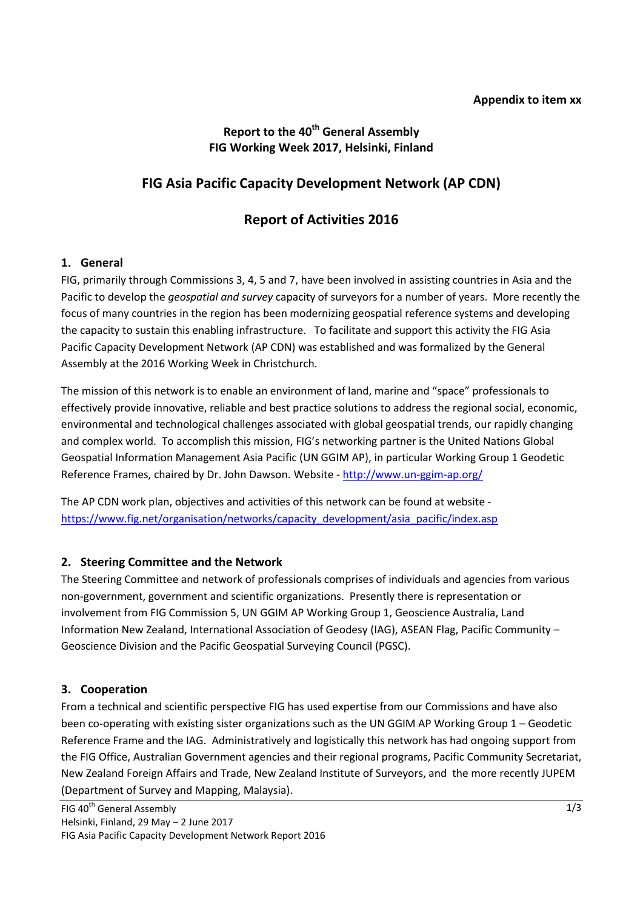### **Report to the 40th General Assembly FIG Working Week 2017, Helsinki, Finland**

# **FIG Asia Pacific Capacity Development Network (AP CDN)**

## **Report of Activities 2016**

#### **1. General**

FIG, primarily through Commissions 3, 4, 5 and 7, have been involved in assisting countries in Asia and the Pacific to develop the *geospatial and survey* capacity of surveyors for a number of years. More recently the focus of many countries in the region has been modernizing geospatial reference systems and developing the capacity to sustain this enabling infrastructure. To facilitate and support this activity the FIG Asia Pacific Capacity Development Network (AP CDN) was established and was formalized by the General Assembly at the 2016 Working Week in Christchurch.

The mission of this network is to enable an environment of land, marine and "space" professionals to effectively provide innovative, reliable and best practice solutions to address the regional social, economic, environmental and technological challenges associated with global geospatial trends, our rapidly changing and complex world. To accomplish this mission, FIG's networking partner is the United Nations Global Geospatial Information Management Asia Pacific (UN GGIM AP), in particular Working Group 1 Geodetic Reference Frames, chaired by Dr. John Dawson. Website - <http://www.un-ggim-ap.org/>

The AP CDN work plan, objectives and activities of this network can be found at website [https://www.fig.net/organisation/networks/capacity\\_development/asia\\_pacific/index.asp](https://www.fig.net/organisation/networks/capacity_development/asia_pacific/index.asp)

#### **2. Steering Committee and the Network**

The Steering Committee and network of professionals comprises of individuals and agencies from various non-government, government and scientific organizations. Presently there is representation or involvement from FIG Commission 5, UN GGIM AP Working Group 1, Geoscience Australia, Land Information New Zealand, International Association of Geodesy (IAG), ASEAN Flag, Pacific Community – Geoscience Division and the Pacific Geospatial Surveying Council (PGSC).

#### **3. Cooperation**

From a technical and scientific perspective FIG has used expertise from our Commissions and have also been co-operating with existing sister organizations such as the UN GGIM AP Working Group 1 – Geodetic Reference Frame and the IAG. Administratively and logistically this network has had ongoing support from the FIG Office, Australian Government agencies and their regional programs, Pacific Community Secretariat, New Zealand Foreign Affairs and Trade, New Zealand Institute of Surveyors, and the more recently JUPEM (Department of Survey and Mapping, Malaysia).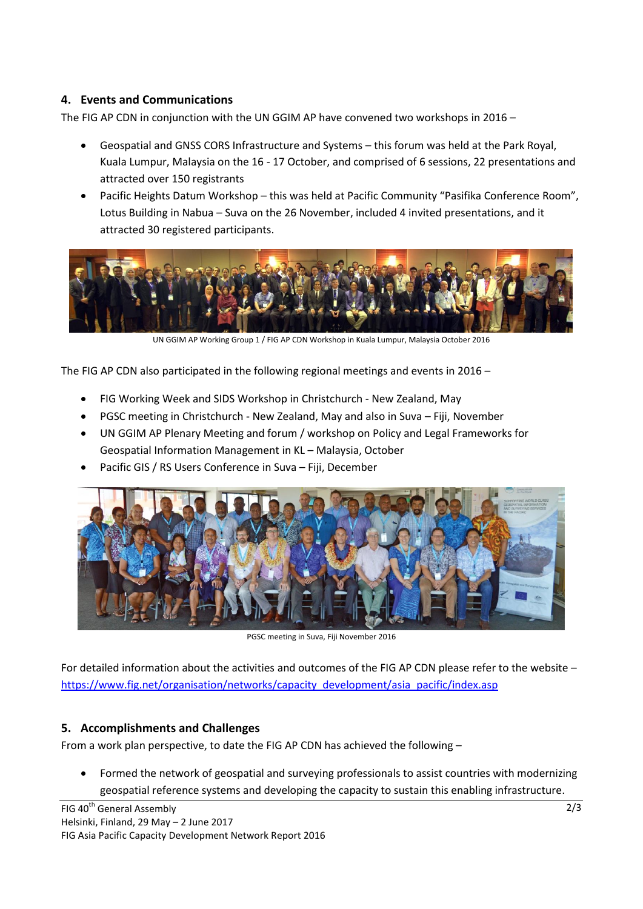### **4. Events and Communications**

The FIG AP CDN in conjunction with the UN GGIM AP have convened two workshops in 2016 –

- Geospatial and GNSS CORS Infrastructure and Systems this forum was held at the Park Royal, Kuala Lumpur, Malaysia on the 16 - 17 October, and comprised of 6 sessions, 22 presentations and attracted over 150 registrants
- Pacific Heights Datum Workshop this was held at Pacific Community "Pasifika Conference Room", Lotus Building in Nabua – Suva on the 26 November, included 4 invited presentations, and it attracted 30 registered participants.



UN GGIM AP Working Group 1 / FIG AP CDN Workshop in Kuala Lumpur, Malaysia October 2016

The FIG AP CDN also participated in the following regional meetings and events in 2016 –

- FIG Working Week and SIDS Workshop in Christchurch New Zealand, May
- PGSC meeting in Christchurch New Zealand, May and also in Suva Fiji, November
- UN GGIM AP Plenary Meeting and forum / workshop on Policy and Legal Frameworks for Geospatial Information Management in KL – Malaysia, October
- Pacific GIS / RS Users Conference in Suva Fiji, December



PGSC meeting in Suva, Fiji November 2016

For detailed information about the activities and outcomes of the FIG AP CDN please refer to the website – [https://www.fig.net/organisation/networks/capacity\\_development/asia\\_pacific/index.asp](https://www.fig.net/organisation/networks/capacity_development/asia_pacific/index.asp)

#### **5. Accomplishments and Challenges**

From a work plan perspective, to date the FIG AP CDN has achieved the following –

 Formed the network of geospatial and surveying professionals to assist countries with modernizing geospatial reference systems and developing the capacity to sustain this enabling infrastructure.